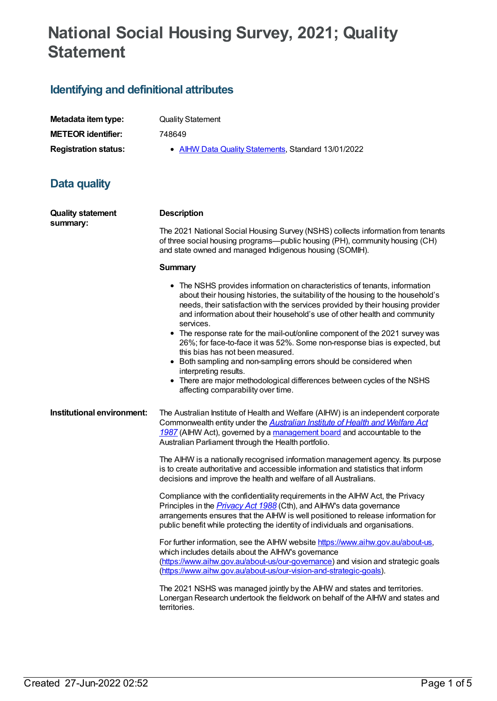# **National Social Housing Survey, 2021; Quality Statement**

## **Identifying and definitional attributes**

| Metadata item type:         | <b>Quality Statement</b>                            |
|-----------------------------|-----------------------------------------------------|
| <b>METEOR</b> identifier:   | 748649                                              |
| <b>Registration status:</b> | • AIHW Data Quality Statements, Standard 13/01/2022 |

### **Data quality**

| <b>Quality statement</b>   | <b>Description</b>                                                                                                                                                                                                                                                                                                                         |  |
|----------------------------|--------------------------------------------------------------------------------------------------------------------------------------------------------------------------------------------------------------------------------------------------------------------------------------------------------------------------------------------|--|
| summary:                   | The 2021 National Social Housing Survey (NSHS) collects information from tenants<br>of three social housing programs—public housing (PH), community housing (CH)<br>and state owned and managed Indigenous housing (SOMIH).                                                                                                                |  |
|                            | <b>Summary</b>                                                                                                                                                                                                                                                                                                                             |  |
|                            | • The NSHS provides information on characteristics of tenants, information<br>about their housing histories, the suitability of the housing to the household's<br>needs, their satisfaction with the services provided by their housing provider<br>and information about their household's use of other health and community<br>services. |  |
|                            | • The response rate for the mail-out/online component of the 2021 survey was<br>26%; for face-to-face it was 52%. Some non-response bias is expected, but<br>this bias has not been measured.                                                                                                                                              |  |
|                            | • Both sampling and non-sampling errors should be considered when<br>interpreting results.                                                                                                                                                                                                                                                 |  |
|                            | • There are major methodological differences between cycles of the NSHS<br>affecting comparability over time.                                                                                                                                                                                                                              |  |
| Institutional environment: | The Australian Institute of Health and Welfare (AIHW) is an independent corporate<br>Commonwealth entity under the <b>Australian Institute of Health and Welfare Act</b><br>1987 (AIHW Act), governed by a management board and accountable to the<br>Australian Parliament through the Health portfolio.                                  |  |
|                            | The AIHW is a nationally recognised information management agency. Its purpose<br>is to create authoritative and accessible information and statistics that inform<br>decisions and improve the health and welfare of all Australians.                                                                                                     |  |
|                            | Compliance with the confidentiality requirements in the AIHW Act, the Privacy<br>Principles in the <i>Privacy Act 1988</i> (Cth), and AIHW's data governance<br>arrangements ensures that the AIHW is well positioned to release information for<br>public benefit while protecting the identity of individuals and organisations.         |  |
|                            | For further information, see the AIHW website https://www.aihw.gov.au/about-us,<br>which includes details about the AIHW's governance<br>(https://www.aihw.gov.au/about-us/our-governance) and vision and strategic goals<br>(https://www.aihw.gov.au/about-us/our-vision-and-strategic-goals).                                            |  |
|                            | The 2021 NSHS was managed jointly by the AIHW and states and territories.<br>Lonergan Research undertook the fieldwork on behalf of the AIHW and states and<br>territories.                                                                                                                                                                |  |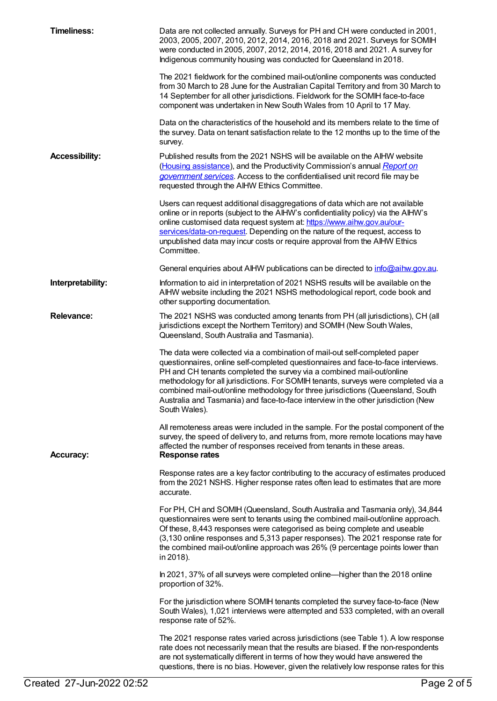| <b>Timeliness:</b>    | Data are not collected annually. Surveys for PH and CH were conducted in 2001,<br>2003, 2005, 2007, 2010, 2012, 2014, 2016, 2018 and 2021. Surveys for SOMIH<br>were conducted in 2005, 2007, 2012, 2014, 2016, 2018 and 2021. A survey for<br>Indigenous community housing was conducted for Queensland in 2018.                                                                                                                                                                                                       |
|-----------------------|-------------------------------------------------------------------------------------------------------------------------------------------------------------------------------------------------------------------------------------------------------------------------------------------------------------------------------------------------------------------------------------------------------------------------------------------------------------------------------------------------------------------------|
|                       | The 2021 fieldwork for the combined mail-out/online components was conducted<br>from 30 March to 28 June for the Australian Capital Territory and from 30 March to<br>14 September for all other jurisdictions. Fieldwork for the SOMIH face-to-face<br>component was undertaken in New South Wales from 10 April to 17 May.                                                                                                                                                                                            |
|                       | Data on the characteristics of the household and its members relate to the time of<br>the survey. Data on tenant satisfaction relate to the 12 months up to the time of the<br>survey.                                                                                                                                                                                                                                                                                                                                  |
| <b>Accessibility:</b> | Published results from the 2021 NSHS will be available on the AIHW website<br>(Housing assistance), and the Productivity Commission's annual Report on<br>government services. Access to the confidentialised unit record file may be<br>requested through the AIHW Ethics Committee.                                                                                                                                                                                                                                   |
|                       | Users can request additional disaggregations of data which are not available<br>online or in reports (subject to the AIHW's confidentiality policy) via the AIHW's<br>online customised data request system at: https://www.aihw.gov.au/our-<br>services/data-on-request. Depending on the nature of the request, access to<br>unpublished data may incur costs or require approval from the AIHW Ethics<br>Committee.                                                                                                  |
|                       | General enquiries about AIHW publications can be directed to info@aihw.gov.au.                                                                                                                                                                                                                                                                                                                                                                                                                                          |
| Interpretability:     | Information to aid in interpretation of 2021 NSHS results will be available on the<br>AIHW website including the 2021 NSHS methodological report, code book and<br>other supporting documentation.                                                                                                                                                                                                                                                                                                                      |
| <b>Relevance:</b>     | The 2021 NSHS was conducted among tenants from PH (all jurisdictions), CH (all<br>jurisdictions except the Northern Territory) and SOMIH (New South Wales,<br>Queensland, South Australia and Tasmania).                                                                                                                                                                                                                                                                                                                |
|                       | The data were collected via a combination of mail-out self-completed paper<br>questionnaires, online self-completed questionnaires and face-to-face interviews.<br>PH and CH tenants completed the survey via a combined mail-out/online<br>methodology for all jurisdictions. For SOMIH tenants, surveys were completed via a<br>combined mail-out/online methodology for three jurisdictions (Queensland, South<br>Australia and Tasmania) and face-to-face interview in the other jurisdiction (New<br>South Wales). |
| <b>Accuracy:</b>      | All remoteness areas were included in the sample. For the postal component of the<br>survey, the speed of delivery to, and returns from, more remote locations may have<br>affected the number of responses received from tenants in these areas.<br><b>Response rates</b>                                                                                                                                                                                                                                              |
|                       | Response rates are a key factor contributing to the accuracy of estimates produced<br>from the 2021 NSHS. Higher response rates often lead to estimates that are more<br>accurate.                                                                                                                                                                                                                                                                                                                                      |
|                       | For PH, CH and SOMIH (Queensland, South Australia and Tasmania only), 34,844<br>questionnaires were sent to tenants using the combined mail-out/online approach.<br>Of these, 8,443 responses were categorised as being complete and useable<br>(3,130 online responses and 5,313 paper responses). The 2021 response rate for<br>the combined mail-out/online approach was 26% (9 percentage points lower than<br>in 2018).                                                                                            |
|                       | In 2021, 37% of all surveys were completed online—higher than the 2018 online<br>proportion of 32%.                                                                                                                                                                                                                                                                                                                                                                                                                     |
|                       | For the jurisdiction where SOMIH tenants completed the survey face-to-face (New<br>South Wales), 1,021 interviews were attempted and 533 completed, with an overall<br>response rate of 52%.                                                                                                                                                                                                                                                                                                                            |
|                       | The 2021 response rates varied across jurisdictions (see Table 1). A low response<br>rate does not necessarily mean that the results are biased. If the non-respondents<br>are not systematically different in terms of how they would have answered the<br>questions, there is no bias. However, given the relatively low response rates for this                                                                                                                                                                      |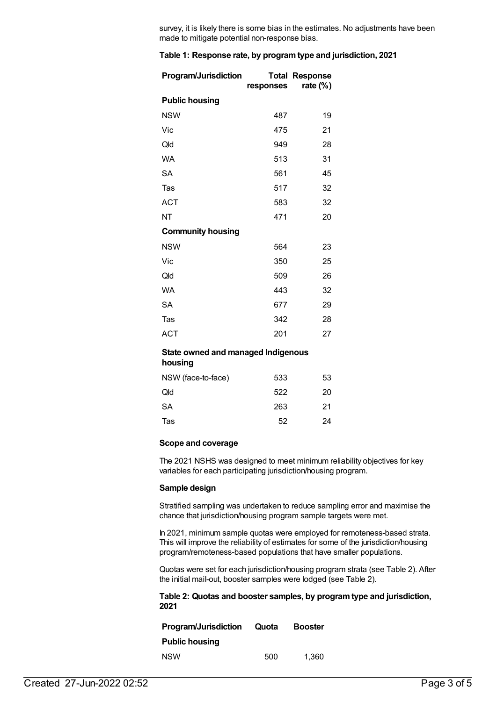survey, it is likely there is some bias in the estimates. No adjustments have been made to mitigate potential non-response bias.

#### **Table 1: Response rate, by programtype and jurisdiction, 2021**

| <b>Program/Jurisdiction</b> | responses | <b>Total Response</b><br>rate (%) |
|-----------------------------|-----------|-----------------------------------|
| <b>Public housing</b>       |           |                                   |
| <b>NSW</b>                  | 487       | 19                                |
| Vic                         | 475       | 21                                |
| Qld                         | 949       | 28                                |
| <b>WA</b>                   | 513       | 31                                |
| SA                          | 561       | 45                                |
| Tas                         | 517       | 32                                |
| <b>ACT</b>                  | 583       | 32                                |
| NT                          | 471       | 20                                |
| <b>Community housing</b>    |           |                                   |
| <b>NSW</b>                  | 564       | 23                                |
| Vic                         | 350       | 25                                |
| Qld                         | 509       | 26                                |
| <b>WA</b>                   | 443       | 32                                |
| SA                          | 677       | 29                                |
| Tas                         | 342       | 28                                |
| <b>ACT</b>                  | 201       | 27                                |

#### **State owned and managed Indigenous**

**housing**

| NSW (face-to-face) | 533 | 53 |
|--------------------|-----|----|
| Old                | 522 | 20 |
| SА                 | 263 | 21 |
| Tas                | 52  | 24 |

#### **Scope and coverage**

The 2021 NSHS was designed to meet minimum reliability objectives for key variables for each participating jurisdiction/housing program.

#### **Sample design**

Stratified sampling was undertaken to reduce sampling error and maximise the chance that jurisdiction/housing program sample targets were met.

In 2021, minimum sample quotas were employed for remoteness-based strata. This will improve the reliability of estimates for some of the jurisdiction/housing program/remoteness-based populations that have smaller populations.

Quotas were set for each jurisdiction/housing program strata (see Table 2). After the initial mail-out, booster samples were lodged (see Table 2).

#### **Table 2: Quotas and booster samples, by programtype and jurisdiction, 2021**

| <b>Program/Jurisdiction</b> | Quota | <b>Booster</b> |
|-----------------------------|-------|----------------|
| <b>Public housing</b>       |       |                |
| <b>NSW</b>                  | 500   | 1.360          |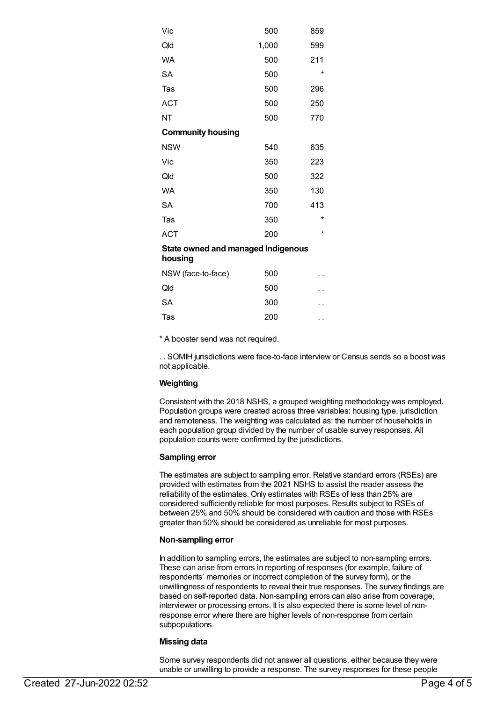| Vic                                           | 500   | 859     |
|-----------------------------------------------|-------|---------|
| Qld                                           | 1,000 | 599     |
| <b>WA</b>                                     | 500   | 211     |
| <b>SA</b>                                     | 500   | $\star$ |
| Tas                                           | 500   | 296     |
| <b>ACT</b>                                    | 500   | 250     |
| NΤ                                            | 500   | 770     |
| <b>Community housing</b>                      |       |         |
| <b>NSW</b>                                    | 540   | 635     |
| Vic                                           | 350   | 223     |
| Qld                                           | 500   | 322     |
| WA                                            | 350   | 130     |
| <b>SA</b>                                     | 700   | 413     |
| Tas                                           | 350   | *       |
| <b>ACT</b>                                    | 200   | *       |
| State owned and managed Indigenous<br>housing |       |         |
| NSW (face-to-face)                            | 500   |         |
| Qld                                           | 500   |         |
| SA                                            | 300   |         |
| Tas                                           | 200   | ٠.      |

\* A booster send was not required.

. . SOMIH jurisdictions were face-to-face interview or Census sends so a boost was not applicable.

#### **Weighting**

Consistent with the 2018 NSHS, a grouped weighting methodology was employed. Population groups were created across three variables: housing type, jurisdiction and remoteness. The weighting was calculated as: the number of households in each population group divided by the number of usable survey responses. All population counts were confirmed by the jurisdictions.

#### **Sampling error**

The estimates are subject to sampling error. Relative standard errors (RSEs) are provided with estimates from the 2021 NSHS to assist the reader assess the reliability of the estimates. Only estimates with RSEs of less than 25% are considered sufficiently reliable for most purposes. Results subject to RSEs of between 25% and 50% should be considered with caution and those with RSEs greater than 50% should be considered as unreliable for most purposes.

#### **Non-sampling error**

In addition to sampling errors, the estimates are subject to non-sampling errors. These can arise from errors in reporting of responses (for example, failure of respondents' memories or incorrect completion of the survey form), or the unwillingness of respondents to reveal their true responses. The survey findings are based on self-reported data. Non-sampling errors can also arise from coverage, interviewer or processing errors. It is also expected there is some level of nonresponse error where there are higher levels of non-response from certain subpopulations.

#### **Missing data**

Some survey respondents did not answer all questions, either because they were unable or unwilling to provide a response. The survey responses for these people